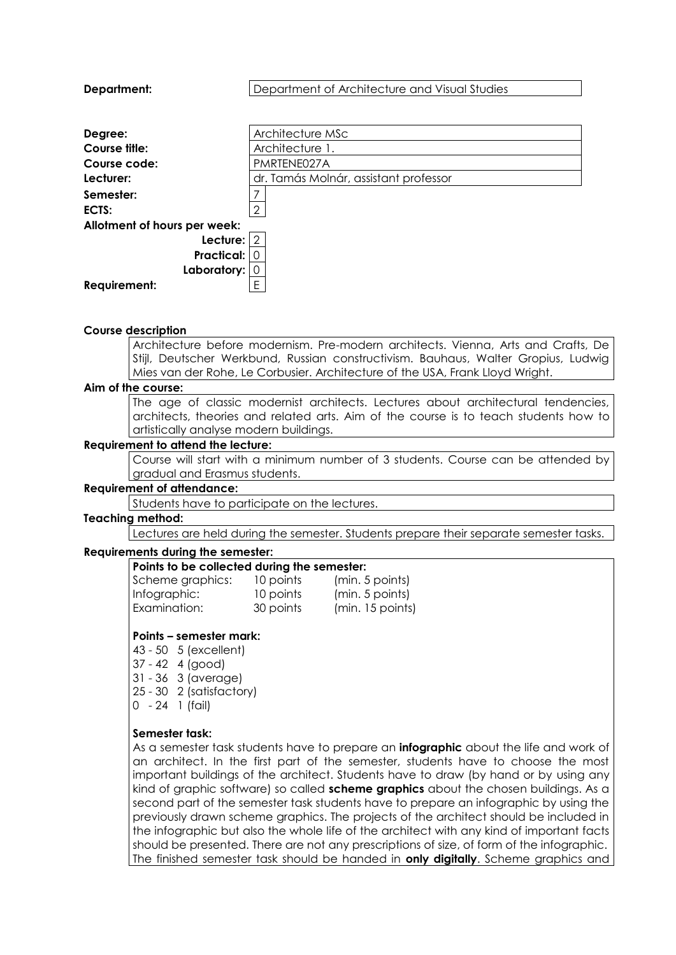| Architecture MSc<br>Degree:<br>Course title:<br>Architecture 1.<br>PMRTENE027A<br>Course code:<br>Lecturer:<br>dr. Tamás Molnár, assistant professor<br>Semester:<br>$\overline{2}$<br>ECTS:<br>Allotment of hours per week:<br>Lecture: 2<br><b>Practical: 0</b><br>Laboratory:<br><b>Requirement:</b><br>Ε<br><b>Course description</b><br>Architecture before modernism. Pre-modern architects. Vienna, Arts and Crafts, De<br>Stijl, Deutscher Werkbund, Russian constructivism. Bauhaus, Walter Gropius, Ludwig | <b>Department:</b> | Department of Architecture and Visual Studies |
|----------------------------------------------------------------------------------------------------------------------------------------------------------------------------------------------------------------------------------------------------------------------------------------------------------------------------------------------------------------------------------------------------------------------------------------------------------------------------------------------------------------------|--------------------|-----------------------------------------------|
|                                                                                                                                                                                                                                                                                                                                                                                                                                                                                                                      |                    |                                               |
|                                                                                                                                                                                                                                                                                                                                                                                                                                                                                                                      |                    |                                               |
|                                                                                                                                                                                                                                                                                                                                                                                                                                                                                                                      |                    |                                               |
|                                                                                                                                                                                                                                                                                                                                                                                                                                                                                                                      |                    |                                               |
|                                                                                                                                                                                                                                                                                                                                                                                                                                                                                                                      |                    |                                               |
|                                                                                                                                                                                                                                                                                                                                                                                                                                                                                                                      |                    |                                               |
|                                                                                                                                                                                                                                                                                                                                                                                                                                                                                                                      |                    |                                               |
|                                                                                                                                                                                                                                                                                                                                                                                                                                                                                                                      |                    |                                               |
|                                                                                                                                                                                                                                                                                                                                                                                                                                                                                                                      |                    |                                               |
|                                                                                                                                                                                                                                                                                                                                                                                                                                                                                                                      |                    |                                               |
|                                                                                                                                                                                                                                                                                                                                                                                                                                                                                                                      |                    |                                               |
|                                                                                                                                                                                                                                                                                                                                                                                                                                                                                                                      |                    |                                               |
|                                                                                                                                                                                                                                                                                                                                                                                                                                                                                                                      |                    |                                               |
|                                                                                                                                                                                                                                                                                                                                                                                                                                                                                                                      |                    |                                               |
|                                                                                                                                                                                                                                                                                                                                                                                                                                                                                                                      |                    |                                               |
|                                                                                                                                                                                                                                                                                                                                                                                                                                                                                                                      |                    |                                               |
|                                                                                                                                                                                                                                                                                                                                                                                                                                                                                                                      |                    |                                               |
|                                                                                                                                                                                                                                                                                                                                                                                                                                                                                                                      |                    |                                               |
| Mies van der Rohe, Le Corbusier. Architecture of the USA, Frank Lloyd Wright.                                                                                                                                                                                                                                                                                                                                                                                                                                        |                    |                                               |
| Aim of the course:                                                                                                                                                                                                                                                                                                                                                                                                                                                                                                   |                    |                                               |
| The age of classic modernist architects. Lectures about architectural tendencies,                                                                                                                                                                                                                                                                                                                                                                                                                                    |                    |                                               |
| architects, theories and related arts. Aim of the course is to teach students how to                                                                                                                                                                                                                                                                                                                                                                                                                                 |                    |                                               |
| artistically analyse modern buildings.<br>the second contract of the contract of the second second second second second second second second second second second second second second second second second second second second second second second second second seco                                                                                                                                                                                                                                             |                    |                                               |

#### **Requirement to attend the lecture:**

Course will start with a minimum number of 3 students. Course can be attended by gradual and Erasmus students.

### **Requirement of attendance:**

Students have to participate on the lectures.

#### **Teaching method:**

Lectures are held during the semester. Students prepare their separate semester tasks.

### **Requirements during the semester:**

| Points to be collected during the semester: |                  |
|---------------------------------------------|------------------|
| 10 points                                   | (min. 5 points)  |
| 10 points                                   | (min. 5 points)  |
| 30 points                                   | (min. 15 points) |
|                                             |                  |

#### **Points – semester mark:**

43 - 50 5 (excellent) 37 - 42 4 (good) 31 - 36 3 (average)

25 - 30 2 (satisfactory)

0 - 24 1 (fail)

#### **Semester task:**

As a semester task students have to prepare an **infographic** about the life and work of an architect. In the first part of the semester, students have to choose the most important buildings of the architect. Students have to draw (by hand or by using any kind of graphic software) so called **scheme graphics** about the chosen buildings. As a second part of the semester task students have to prepare an infographic by using the previously drawn scheme graphics. The projects of the architect should be included in the infographic but also the whole life of the architect with any kind of important facts should be presented. There are not any prescriptions of size, of form of the infographic. The finished semester task should be handed in **only digitally**. Scheme graphics and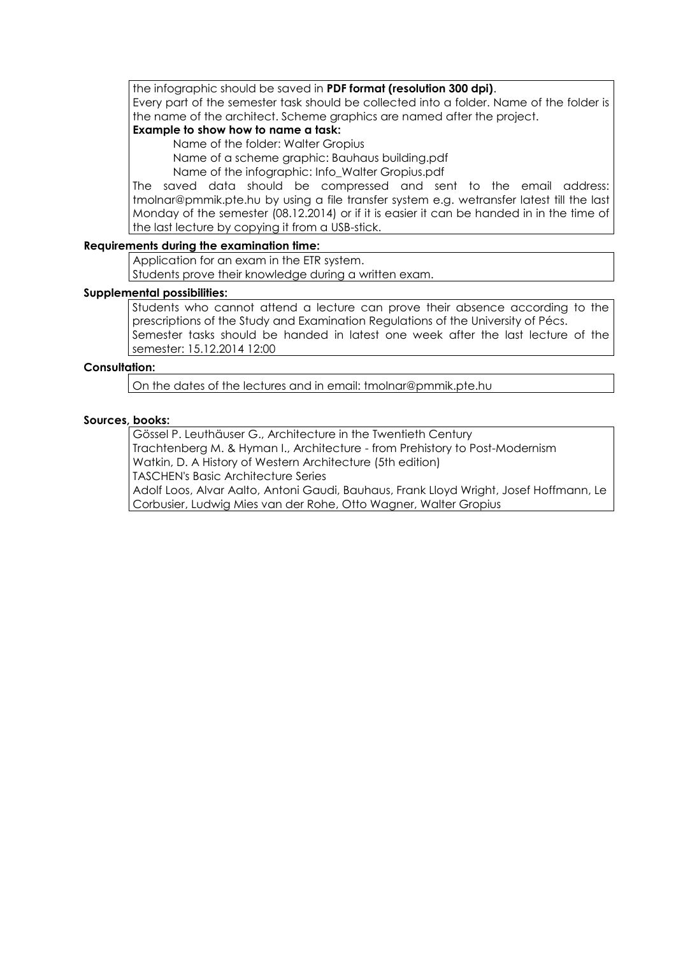the infographic should be saved in **PDF format (resolution 300 dpi)**. Every part of the semester task should be collected into a folder. Name of the folder is the name of the architect. Scheme graphics are named after the project.

# **Example to show how to name a task:**

Name of the folder: Walter Gropius

Name of a scheme graphic: Bauhaus building.pdf

Name of the infographic: Info\_Walter Gropius.pdf

The saved data should be compressed and sent to the email address: tmolnar@pmmik.pte.hu by using a file transfer system e.g. wetransfer latest till the last Monday of the semester (08.12.2014) or if it is easier it can be handed in in the time of the last lecture by copying it from a USB-stick.

### **Requirements during the examination time:**

Application for an exam in the ETR system.

Students prove their knowledge during a written exam.

### **Supplemental possibilities:**

Students who cannot attend a lecture can prove their absence according to the prescriptions of the Study and Examination Regulations of the University of Pécs. Semester tasks should be handed in latest one week after the last lecture of the semester: 15.12.2014 12:00

# **Consultation:**

On the dates of the lectures and in email: tmolnar@pmmik.pte.hu

### **Sources, books:**

Gössel P. Leuthäuser G., Architecture in the Twentieth Century Trachtenberg M. & Hyman I., Architecture - from Prehistory to Post-Modernism Watkin, D. A History of Western Architecture (5th edition) TASCHEN's Basic Architecture Series Adolf Loos, Alvar Aalto, Antoni Gaudi, Bauhaus, Frank Lloyd Wright, Josef Hoffmann, Le Corbusier, Ludwig Mies van der Rohe, Otto Wagner, Walter Gropius